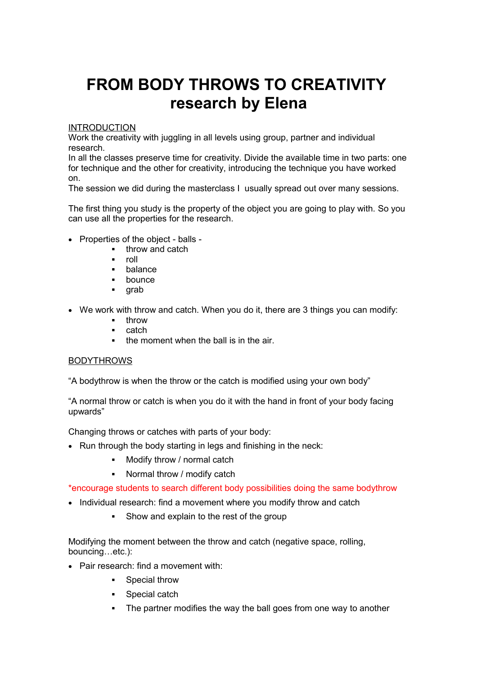## **FROM BODY THROWS TO CREATIVITY research by Elena**

## INTRODUCTION

Work the creativity with juggling in all levels using group, partner and individual research.

In all the classes preserve time for creativity. Divide the available time in two parts: one for technique and the other for creativity, introducing the technique you have worked on.

The session we did during the masterclass I usually spread out over many sessions.

The first thing you study is the property of the object you are going to play with. So you can use all the properties for the research.

- Properties of the object balls
	- **throw and catch**
	- roll
	- **balance**
	- **bounce**
	- **grab**
- We work with throw and catch. When you do it, there are 3 things you can modify:
	- throw
	- catch
	- $\blacksquare$  the moment when the ball is in the air.

## **BODYTHROWS**

"A bodythrow is when the throw or the catch is modified using your own body"

"A normal throw or catch is when you do it with the hand in front of your body facing upwards"

Changing throws or catches with parts of your body:

- Run through the body starting in legs and finishing in the neck:
	- **•** Modify throw / normal catch
	- Normal throw / modify catch

\*encourage students to search different body possibilities doing the same bodythrow

- Individual research: find a movement where you modify throw and catch
	- Show and explain to the rest of the group

Modifying the moment between the throw and catch (negative space, rolling, bouncing…etc.):

- Pair research: find a movement with:
	- **Special throw**
	- **Special catch**
	- The partner modifies the way the ball goes from one way to another